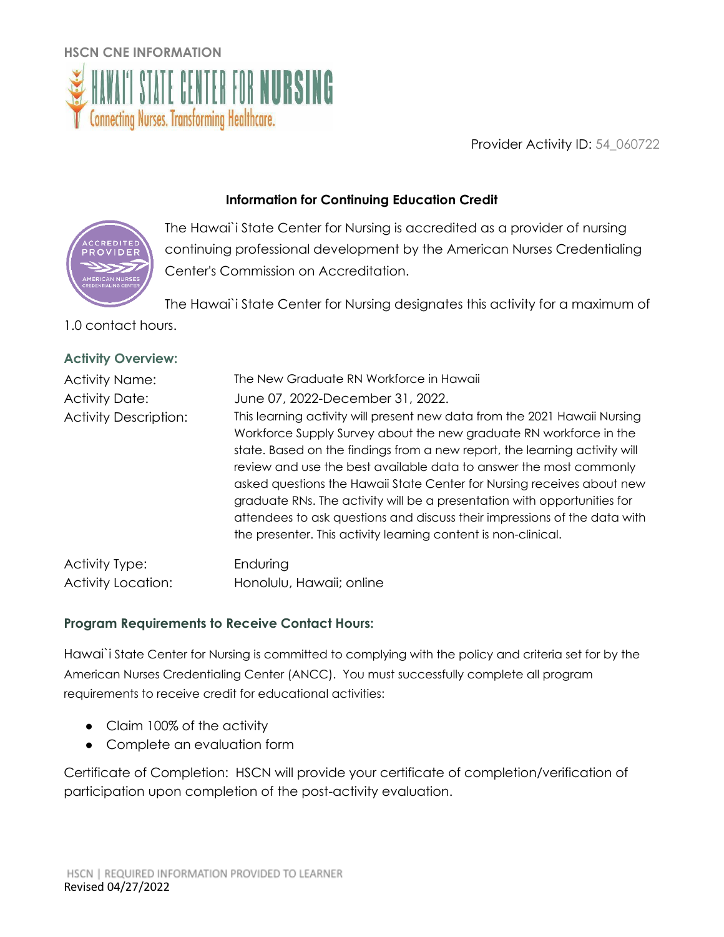

Provider Activity ID: 54\_060722

# **Information for Continuing Education Credit**



The Hawai`i State Center for Nursing is accredited as a provider of nursing continuing professional development by the American Nurses Credentialing Center's Commission on Accreditation.

The Hawai`i State Center for Nursing designates this activity for a maximum of

1.0 contact hours.

|  | <b>Activity Overview:</b> |
|--|---------------------------|
|--|---------------------------|

| <b>Activity Name:</b><br><b>Activity Date:</b><br><b>Activity Description:</b> | The New Graduate RN Workforce in Hawaii<br>June 07, 2022-December 31, 2022.<br>This learning activity will present new data from the 2021 Hawaii Nursing<br>Workforce Supply Survey about the new graduate RN workforce in the<br>state. Based on the findings from a new report, the learning activity will<br>review and use the best available data to answer the most commonly<br>asked questions the Hawaii State Center for Nursing receives about new<br>graduate RNs. The activity will be a presentation with opportunities for<br>attendees to ask questions and discuss their impressions of the data with |
|--------------------------------------------------------------------------------|-----------------------------------------------------------------------------------------------------------------------------------------------------------------------------------------------------------------------------------------------------------------------------------------------------------------------------------------------------------------------------------------------------------------------------------------------------------------------------------------------------------------------------------------------------------------------------------------------------------------------|
|                                                                                | the presenter. This activity learning content is non-clinical.                                                                                                                                                                                                                                                                                                                                                                                                                                                                                                                                                        |
| Activity Type:                                                                 | Enduring                                                                                                                                                                                                                                                                                                                                                                                                                                                                                                                                                                                                              |

Activity Location: Honolulu, Hawaii; online

## **Program Requirements to Receive Contact Hours:**

Hawai`i State Center for Nursing is committed to complying with the policy and criteria set for by the American Nurses Credentialing Center (ANCC). You must successfully complete all program requirements to receive credit for educational activities:

- Claim 100% of the activity
- Complete an evaluation form

Certificate of Completion: HSCN will provide your certificate of completion/verification of participation upon completion of the post-activity evaluation.